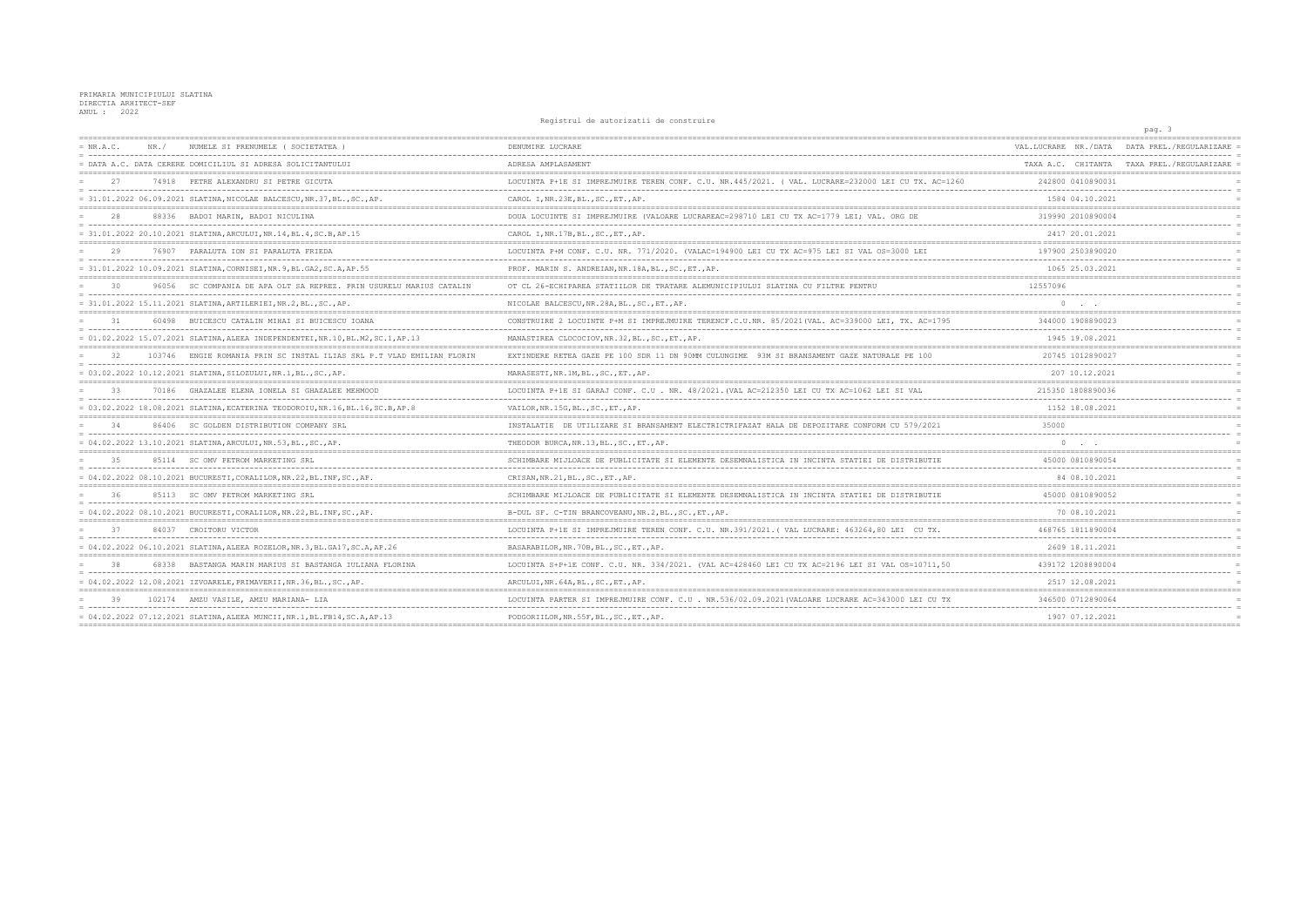## PRIMARIA MUNICIPIULUI SLATINA DIRECTIA ARHITECT-SEF ANUL: 2022

Registrul de autorizatii de construire  $= NR.A.C.$ NR./ NUMELE SI PRENUMELE ( SOCIETATEA ) DENUMIRE LUCRARE = DATA A.C. DATA CERERE DOMICILIUL SI ADRESA SOLICITANTULUI ADRESA AMPLASAMENT ============== 74918 PETRE ALEXANDRU SI PETRE GICUTA LOCUINTA P+1E SI IMPREJMUIRE TEREN CONF. C.U. NR.445/2021. ( VAL. LUCRARE=232000 LEI CU TX. AC=1260  $27$ . . . . . . . . . . ----------------------------المستمسس والمستنسب = 31.01.2022 06.09.2021 SLATINA, NICOLAE BALCESCU, NR.37, BL., SC., AP. CAROL I, NR. 23E, BL., SC., ET., AP.  $\frac{1}{1}$ DOUA LOCUINTE SI IMPREJMUIRE (VALOARE LUCRAREAC=298710 LEI CU TX AC=1779 LEI; VAL. ORG DE  $28$ 88336 BADOI MARIN, BADOI NICULINA = 31.01.2022 20.10.2021 SLATINA, ARCULUI, NR.14, BL.4, SC.B, AP.15 CAROL I, NR.17B, BL., SC., ET., AP.  $29$ 76907 PARALUTA TON ST PARALUTA FRIEDA LOCUINTA P+M CONF. C.U. NR. 771/2020. (VALAC=194900 LEI CU TX AC=975 LEI SI VAL OS=3000 LEI = 31.01.2022 10.09.2021 SLATINA, CORNISEI, NR. 9, BL. GA2, SC. A, AP. 55 PROF. MARIN S. ANDREIAN, NR. 18A, BL., SC., ET., AP. OT CL 26-ECHIPAREA STATIILOR DE TRATARE ALEMUNICIPIULUI SLATINA CU FILTRE PENTRU  $30$ 96056 SC COMPANIA DE APA OLT SA REPREZ. PRIN USURELU MARIUS CATALIN \_\_\_\_\_\_\_\_\_\_\_\_\_\_\_\_\_\_\_\_\_\_\_\_\_\_\_  $- - - - -$ = 31.01.2022 15.11.2021 SLATINA, ARTILERIEI, NR.2, BL., SC., AP. NICOLAE BALCESCU, NR. 28A, BL., SC., ET., AP.  $\qquad \qquad \underline{\qquad }$ 60498 BUICESCU CATALIN MIHAI SI BUICESCU IOANA CONSTRUIRE 2 LOCUINTE P+M SI IMPREJMUIRE TERENCF.C.U.NR. 85/2021 (VAL. AC=339000 LEI, TX. AC=1795  $-31$ = 01.02.2022 15.07.2021 SLATINA, ALEEA INDEPENDENTEI, NR.10, BL.M2, SC.1, AP.13 MANASTIREA CLOCOCIOV, NR.32, BL., SC., ET., AP. \_\_\_\_\_\_\_\_\_\_\_\_ EXTINDERE RETEA GAZE PE 100 SDR 11 DN 90MM CIILINGIME. 93M SI BRANSAMENT GAZE NATIIRALE PE 100  $32$ 103746 ENGIE ROMANIA PRIN SC INSTAL ILIAS SRL P T VLAD EMILIAN FLORIN  $= 03.02.2022 10.12.2021 SLATINA, SILOZULUI, NR.1, BL., SC., AP.$ MARASESTI, NR. 1M, BL., SC., ET., AP. 70186 GHAZALEE ELENA IONELA SI GHAZALEE MEHMOOD LOCUINTA P+1E SI GARAJ CONF. C.U. NR. 48/2021. (VAL AC=212350 LEI CU TX AC=1062 LEI SI VAL 33  $=$   $-$ --------------\_\_\_\_\_\_\_\_\_\_\_\_\_\_\_\_\_\_  $= 03.02.2022 18.08.2021 SLATINA, ECATERINA TEODOROIU, NR.16, BL.16, SC.B, AP.8$ VAILOR, NR.15G, BL., SC., ET., AP. =========== 34 86406 SC GOLDEN DISTRIBUTION COMPANY SRL INSTALATIE DE UTILIZARE SI BRANSAMENT ELECTRICTRIFAZAT HALA DE DEPOZITARE CONFORM CU 579/2021 = 04.02.2022 13.10.2021 SLATINA, ARCULUI, NR.53, BL., SC., AP. THEODOR BURCA, NR.13, BL., SC., ET., AP. ============= 85114 SC OMV PETROM MARKETING SRL SCHIMBARE MIJLOACE DE PUBLICITATE SI ELEMENTE DESEMNALISTICA IN INCINTA STATIEI DE DISTRIBUTIE 35 = 04.02.2022 08.10.2021 BUCURESTI, CORALILOR, NR.22, BL. INF, SC., AP. CRISAN, NR.21, BL., SC., ET., AP. 36 85113 SC OMV PETROM MARKETING SRL SCHIMBARE MIJLOACE DE PUBLICITATE SI ELEMENTE DESEMNALISTICA IN INCINTA STATIEI DE DISTRIBUTIE \_\_\_\_\_\_\_\_\_\_\_\_\_\_\_\_\_\_\_\_\_\_\_\_\_\_\_\_\_\_\_\_\_\_  $= 04.02.2022 08.10.2021$  BUCURESTI, CORALILOR, NR.22, BL. INF, SC., AP. B-DUL SF. C-TIN BRANCOVEANU, NR. 2, BL., SC., ET., AP. 37 84037 CROITORU VICTOR LOCUINTA P+1E SI IMPREJMUIRE TEREN CONF. C.U. NR.391/2021. ( VAL LUCRARE: 463264, 80 LEI CU TX. = 04.02.2022 06.10.2021 SLATINA, ALEEA ROZELOR, NR.3, BL.GA17, SC.A, AP.26 BASARABILOR, NR. 70B, BL., SC., ET., AP.  $=$ 68338 BASTANGA MARIN MARIUS SI BASTANGA IULIANA FLORINA LOCUINTA S+P+1E CONF. C.U. NR. 334/2021. (VAL AC=428460 LEI CU TX AC=2196 LEI SI VAL OS=10711.50  $\overline{38}$ = 04.02.2022 12.08.2021 IZVOARELE, PRIMAVERII, NR.36, BL., SC., AP. ARCULUI.NR.64A.BL..SC..ET..AP. 102174 AMZU VASILE, AMZU MARIANA- LIA LOCUINTA PARTER SI IMPREJMUIRE CONF. C.U. NR.536/02.09.2021 (VALOARE LUCRARE AC=343000 LEI CU TX  $39$  $=$   $-$ --------------------------------- $= 04.02.2022 07.12.2021 SLATINA, ALEEA MUNCII, NR.1, BL. FBI4, SC.A. AP.13$ PODGORIILOR, NR.55F, BL., SC., ET., AP.

|                | pay.                                          |                                                     |                                        |
|----------------|-----------------------------------------------|-----------------------------------------------------|----------------------------------------|
|                | DATA PREL./REGULARIZARE<br>------------------ | ----------------                                    | VAL.LUCRARE NR./DATA<br>-----          |
|                | CHITANTA TAXA PREL./REGULARIZARE =            |                                                     | TAXA A.C.                              |
|                |                                               | 242800 0410890031<br>-------------                  |                                        |
| $=$            |                                               | 1584 04.10.2021                                     |                                        |
|                |                                               | 319990 2010890004                                   |                                        |
| $=$            |                                               | ------------<br>2417 20.01.2021                     |                                        |
| $=$            |                                               | 197900 2503890020                                   |                                        |
| $=$            |                                               | .<br>1065 25.03.2021                                |                                        |
|                |                                               | =========================                           | 12557096                               |
| $=$<br>$=$     |                                               |                                                     | -------<br>0                           |
| $=$            |                                               | ;============================<br>344000 1908890023  |                                        |
|                |                                               | ---------------<br>1945 19.08.2021                  |                                        |
| $=$ $=$<br>$=$ | ========                                      | 20745 1012890027                                    | -------------------------------------- |
| $=$            |                                               | ---------<br>207 10.12.2021                         |                                        |
|                |                                               | 215350 1808890036                                   |                                        |
| $\equiv$       |                                               | . _ _ _ _ _ _ _ _ _ _ _ _ _<br>1152 18.08.2021      |                                        |
| $=$            |                                               | ================================                    | 35000                                  |
|                |                                               |                                                     | $\Omega$                               |
|                |                                               | ===========================<br>45000 0810890054     |                                        |
| $=$<br>$=$     |                                               | ------------<br>84 08.10.2021                       |                                        |
|                |                                               | 45000 0810890052                                    |                                        |
| $=$            |                                               | ------------<br>70 08.10.2021                       |                                        |
| $=$            |                                               | 468765 1811890004                                   |                                        |
| $=$<br>$=$     |                                               | -----------<br>2609 18.11.2021                      |                                        |
| $=$            |                                               | 439172 1208890004                                   |                                        |
| $=$            |                                               | . <u>.</u><br>2517 12.08.2021                       |                                        |
|                |                                               | ------------------------------<br>346500 0712890064 |                                        |
|                |                                               | 1907 07.12.2021                                     |                                        |
|                |                                               |                                                     |                                        |

 $n \cdot \alpha$   $\alpha$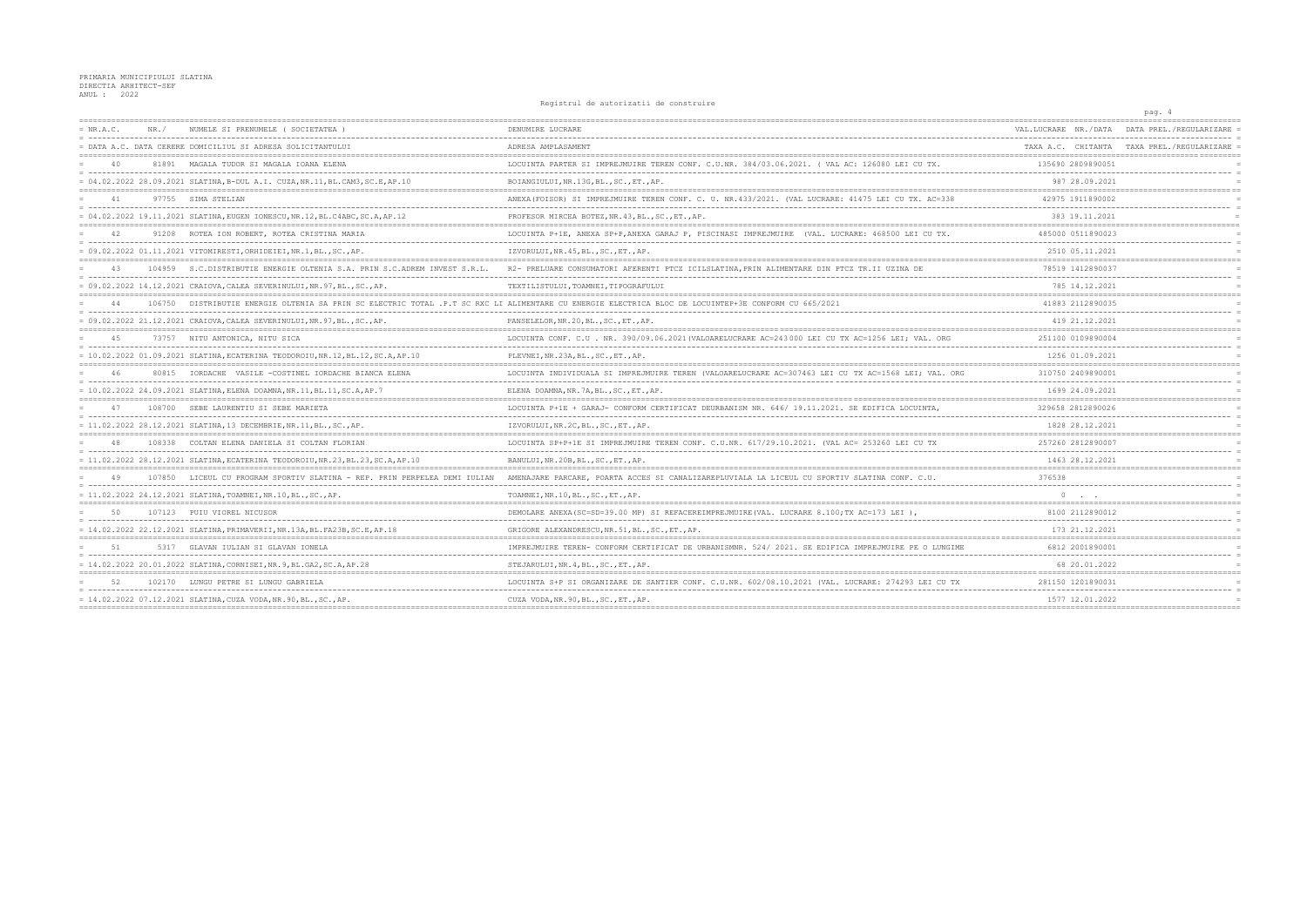## PRIMARIA MUNICIPIULUI SLATINA<br>DIRECTIA ARHITECT-SEF<br>ANUL : 2022

Registrul de autorizatii de construire

|             |      |                                                                                 | Registrui de autorizatii de construite                                                                                                               |                      | pag. 4                                     |
|-------------|------|---------------------------------------------------------------------------------|------------------------------------------------------------------------------------------------------------------------------------------------------|----------------------|--------------------------------------------|
| $= NR.A.C.$ | NR / | NUMELE SI PRENUMELE (SOCIETATEA)                                                | DENUMIRE LUCRARE                                                                                                                                     | VAL.LUCRARE NR./DATA | DATA PREL./REGULARIZARE                    |
|             |      | = DATA A.C. DATA CERERE DOMICILIUL SI ADRESA SOLICITANTULUI                     | ADRESA AMPLASAMENT                                                                                                                                   |                      | TAXA A.C. CHITANTA TAXA PREL./REGULARIZARE |
| 40          |      | 81891 MAGALA TUDOR SI MAGALA IOANA ELENA                                        | LOCUINTA PARTER SI IMPREJMUIRE TEREN CONF. C.U.NR. 384/03.06.2021. ( VAL AC: 126080 LEI CU TX.                                                       | 135690 2809890051    |                                            |
|             |      | = 04.02.2022 28.09.2021 SLATINA, B-DUL A.I. CUZA, NR.11, BL.CAM3, SC.E, AP.10   | BOIANGIULUI, NR.13G, BL., SC., ET., AP.                                                                                                              | 987 28.09.2021       |                                            |
| 41          |      | 97755 SIMA STELIAN                                                              | ANEXA (FOISOR) SI IMPREJMUIRE TEREN CONF. C. U. NR. 433/2021. (VAL LUCRARE: 41475 LEI CU TX. AC=338                                                  | 42975 1911890002     |                                            |
|             |      | = 04.02.2022 19.11.2021 SLATINA, EUGEN IONESCU, NR.12, BL.C4ABC, SC.A, AP.12    | PROFESOR MIRCEA BOTEZ, NR. 43, BL., SC., ET., AP.                                                                                                    | 383 19.11.2021       |                                            |
|             |      | 91208 ROTEA ION ROBERT, ROTEA CRISTINA MARIA                                    | LOCUINTA P+1E, ANEXA SP+P,ANEXA GARAJ P, PISCINASI IMPREJMUIRE (VAL. LUCRARE: 468500 LEI CU TX.                                                      | 485000 0511890023    |                                            |
|             |      | = 09.02.2022 01.11.2021 VITOMIRESTI,ORHIDEIEI,NR.1,BL.,SC.,AP.                  | IZVORULUI, NR. 45, BL., SC., ET., AP.                                                                                                                | 2510 05.11.2021      |                                            |
| 43          |      | 104959 S.C. DISTRIBUTIE ENERGIE OLTENIA S.A. PRIN S.C. ADREM INVEST S.R.L.      | R2- PRELUARE CONSUMATORI AFERENTI PTCZ ICILSLATINA, PRIN ALIMENTARE DIN PTCZ TR.II UZINA DE                                                          | 78519 1412890037     |                                            |
|             |      | = 09.02.2022 14.12.2021 CRAIOVA, CALEA SEVERINULUI, NR.97, BL., SC., AP.        | TEXTILISTULUI, TOAMNEI, TIPOGRAFULUI                                                                                                                 | 785 14.12.2021       |                                            |
|             |      |                                                                                 | 106750 DISTRIBUTIE ENERGIE OLTENIA SA PRIN SC ELECTRIC TOTAL .P.T SC RXC LI ALIMENTARE CU ENERGIE ELECTRICA BLOC DE LOCUINTEP+3E CONFORM CU 665/2021 | 41883 2112890035     |                                            |
|             |      | = 09.02.2022 21.12.2021 CRAIOVA, CALEA SEVERINULUI, NR. 97, BL., SC., AP.       | PANSELELOR, NR. 20, BL., SC., ET., AP.                                                                                                               | 419 21.12.2021       |                                            |
| 45          |      | 73757 NITU ANTONICA, NITU SICA                                                  | LOCUINTA CONF. C.U. NR. 390/09.06.2021 (VALOARELUCRARE AC=243000 LEI CU TX AC=1256 LEI; VAL. ORG                                                     | 251100 0109890004    |                                            |
|             |      | = 10.02.2022 01.09.2021 SLATINA, ECATERINA TEODOROIU, NR.12, BL.12, SC.A, AP.10 | PLEVNEI, NR.23A, BL., SC., ET., AP.                                                                                                                  | 1256 01.09.2021      |                                            |
| 46          |      | 80815    IORDACHE    VASILE -COSTINEL IORDACHE BIANCA ELENA                     | LOCUINTA INDIVIDUALA SI IMPREJMUIRE TEREN (VALOARELUCRARE AC=307463 LEI CU TX AC=1568 LEI; VAL. ORG                                                  | 310750 2409890001    |                                            |
|             |      | = 10.02.2022 24.09.2021 SLATINA, ELENA DOAMNA, NR.11, BL.11, SC.A, AP.7         | ELENA DOAMNA, NR. 7A, BL., SC., ET., AP.                                                                                                             | 1699 24.09.2021      |                                            |
|             |      | 108700 SEBE LAURENTIU SI SEBE MARIETA                                           | LOCUINTA P+1E + GARAJ- CONFORM CERTIFICAT DEURBANISM NR. 646/19.11.2021. SE EDIFICA LOCUINTA.                                                        | 329658 2812890026    |                                            |
|             |      | $= 11.02.2022 28.12.2021 SLATINA, 13 DECEMBRIE,NR.11,BL., SC., AP.$             | IZVORULUI, NR.2C, BL., SC., ET., AP.                                                                                                                 | 1828 28.12.2021      |                                            |
|             |      | 108338 COLTAN ELENA DANIELA SI COLTAN FLORIAN                                   | LOCUINTA SP+P+1E SI IMPREJMUIRE TEREN CONF. C.U.NR. 617/29.10.2021. (VAL AC= 253260 LEI CU TX                                                        | 257260 2812890007    |                                            |
|             |      | = 11.02.2022 28.12.2021 SLATINA, ECATERINA TEODOROIU, NR.23, BL.23, SC.A, AP.10 | BANULUI, NR.20B, BL., SC., ET., AP.                                                                                                                  | 1463 28.12.2021      |                                            |
|             |      | 107850 LICEUL CU PROGRAM SPORTIV SLATINA - REP. PRIN PERPELEA DEMI IULIAN       | AMENAJARE PARCARE, POARTA ACCES SI CANALIZAREPLUVIALA LA LICEUL CU SPORTIV SLATINA CONF. C.U.                                                        | 376538               |                                            |
|             |      | = 11.02.2022 24.12.2021 SLATINA,TOAMNEI,NR.10,BL.,SC.,AP.                       | TOAMNEI, NR.10, BL., SC., ET., AP.                                                                                                                   | $\Omega$             |                                            |
| 50          |      | 107123 PUIU VIOREL NICUSOR                                                      | DEMOLARE ANEXA(SC=SD=39.00 MP) SI REFACEREIMPREJMUIRE(VAL. LUCRARE 8.100;TX AC=173 LEI).                                                             | 8100 2112890012      |                                            |
|             |      | = 14.02.2022 22.12.2021 SLATINA, PRIMAVERII, NR.13A, BL.FA23B, SC.E, AP.18      | GRIGORE ALEXANDRESCU.NR.51.BLSCETAP.                                                                                                                 | 173 21 12 2021       |                                            |
| 51          |      | 5317 GLAVAN IULIAN SI GLAVAN IONELA                                             | IMPREJMUIRE TEREN- CONFORM CERTIFICAT DE URBANISMNR. 524/ 2021. SE EDIFICA IMPREJMUIRE PE O LUNGIME                                                  | 6812 2001890001      |                                            |
|             |      | = 14.02.2022 20.01.2022 SLATINA, CORNISEI, NR. 9, BL. GA2, SC. A, AP. 28        | STEJARULUI, NR. 4, BL., SC., ET., AP.                                                                                                                | 68 20.01.2022        |                                            |
| 52          |      | 102170 LUNGU PETRE SI LUNGU GABRIELA                                            | LOCUINTA S+P SI ORGANIZARE DE SANTIER CONF. C.U.NR. 602/08.10.2021 (VAL. LUCRARE: 274293 LEI CU TX                                                   | 281150 1201890031    |                                            |
|             |      | = 14.02.2022 07.12.2021 SLATINA,CUZA VODA,NR.90,BL.,SC.,AP.                     | CUZA VODA, NR. 90, BL., SC., ET., AP.                                                                                                                | 1577 12.01.2022      |                                            |
|             |      |                                                                                 |                                                                                                                                                      |                      |                                            |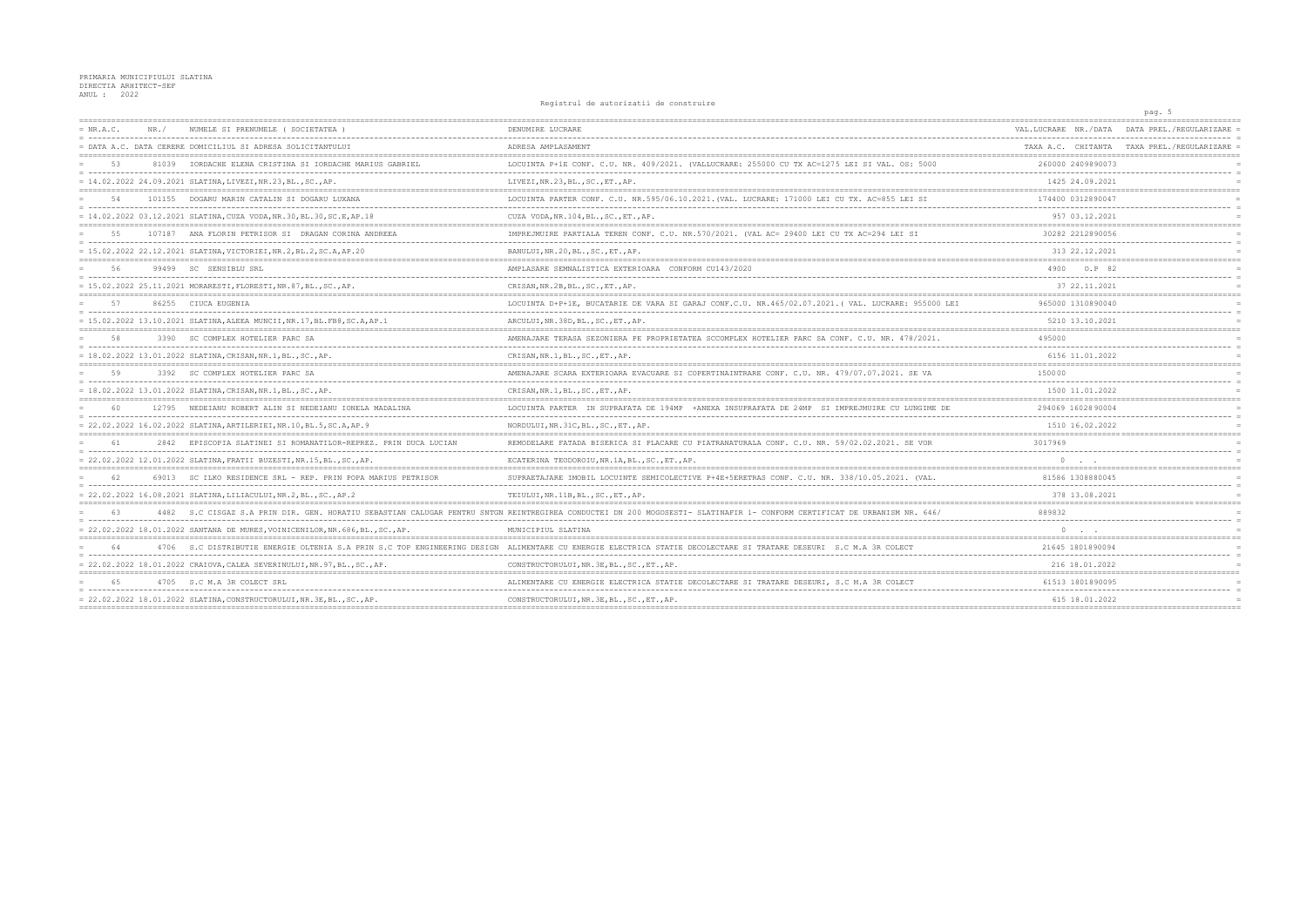## PRIMARIA MUNICIPIULUI SLATINA<br>DIRECTIA ARHITECT-SEF<br>ANUL : 2022

Registrul de autorizatii de construire

|             |      |                                                                               | Registrui de autorizatii de construire                                                                                                                                  |                      | pag. 5                                     |
|-------------|------|-------------------------------------------------------------------------------|-------------------------------------------------------------------------------------------------------------------------------------------------------------------------|----------------------|--------------------------------------------|
| $= NR.A.C.$ | NR / | NUMELE SI PRENUMELE ( SOCIETATEA                                              | DENUMIRE LUCRARE                                                                                                                                                        | VAL.LUCRARE NR./DATA | DATA PREL./REGULARIZARE                    |
|             |      | = DATA A.C. DATA CERERE DOMICILIUL SI ADRESA SOLICITANTULUI                   | ADRESA AMPLASAMENT                                                                                                                                                      |                      | TAXA A.C. CHITANTA TAXA PREL./REGULARIZARE |
| 53          |      | 81039 IORDACHE ELENA CRISTINA SI IORDACHE MARIUS GABRIEL                      | LOCUINTA P+1E CONF. C.U. NR. 409/2021. (VALLUCRARE: 255000 CU TX AC=1275 LEI SI VAL. OS: 5000                                                                           | 260000 2409890073    |                                            |
|             |      | $= 14.02.2022 24.09.2021 SLATINA, LIVEZI, NR.23, BL., SC., AP.$               | LIVEZI, NR.23, BL., SC., ET., AP.                                                                                                                                       | 1425 24.09.2021      |                                            |
|             |      | 101155 DOGARU MARIN CATALIN SI DOGARU LUXANA                                  | LOCUINTA PARTER CONF. C.U. NR.595/06.10.2021. (VAL. LUCRARE: 171000 LEI CU TX. AC=855 LEI SI                                                                            | 174400 0312890047    |                                            |
|             |      | = 14.02.2022 03.12.2021 SLATINA, CUZA VODA, NR.30, BL.30, SC.E, AP.18         | CUZA VODA, NR.104, BL., SC., ET., AP.                                                                                                                                   | 957 03.12.2021       |                                            |
| 55          |      | 107187 ANA FLORIN PETRISOR SI DRAGAN CORINA ANDREEA                           | IMPREJMUIRE PARTIALA TEREN CONF. C.U. NR.570/2021. (VAL AC= 29400 LEI CU TX AC=294 LEI SI                                                                               | 30282 2212890056     |                                            |
|             |      | = 15.02.2022 22.12.2021 SLATINA, VICTORIEI, NR.2, BL.2, SC.A, AP.20           | BANULUI, NR. 20, BL., SC., ET., AP.                                                                                                                                     | 313 22.12.2021       |                                            |
| 56          |      | 99499 SC SENSIBLU SRL                                                         | AMPLASARE SEMNALISTICA EXTERIOARA CONFORM CU143/2020                                                                                                                    | 4900<br>O.P 82       |                                            |
|             |      | = 15.02.2022 25.11.2021 MORARESTI, FLORESTI, NR.87, BL., SC., AP.             | CRISAN, NR.2B, BL., SC., ET., AP.                                                                                                                                       | 37 22.11.2021        |                                            |
| 57          |      | 86255 CIUCA EUGENIA                                                           | LOCUINTA D+P+1E, BUCATARIE DE VARA SI GARAJ CONF.C.U. NR.465/02.07.2021. ( VAL. LUCRARE: 955000 LEI                                                                     | 965000 1310890040    |                                            |
|             |      | = 15.02.2022 13.10.2021 SLATINA, ALEEA MUNCII, NR.17, BL.FB8, SC.A, AP.1      | ARCULUI, NR. 38D, BL., SC., ET., AP.                                                                                                                                    | 5210 13.10.2021      |                                            |
| 58          |      | 3390 SC COMPLEX HOTELIER PARC SA                                              | AMENAJARE TERASA SEZONIERA PE PROPRIETATEA SCCOMPLEX HOTELIER PARC SA CONF. C.U. NR. 478/2021.                                                                          | 495000               |                                            |
|             |      | = 18.02.2022 13.01.2022 SLATINA, CRISAN, NR.1, BL., SC., AP.                  | CRISAN, NR.1, BL., SC., ET., AP.                                                                                                                                        | 6156 11.01.2022      |                                            |
| 59          |      | 3392 SC COMPLEX HOTELIER PARC SA                                              | AMENAJARE SCARA EXTERIOARA EVACUARE SI COPERTINAINTRARE CONF. C.U. NR. 479/07.07.2021. SE VA                                                                            | 150000               |                                            |
|             |      | $= 18.02.2022 13.01.2022 SLATINA, CRISAN, NR.1, BL., SC., AP.$                | CRISAN, NR.1, BL., SC., ET., AP.                                                                                                                                        | 1500 11.01.2022      |                                            |
|             |      | 12795 NEDEIANU ROBERT ALIN SI NEDEIANU IONELA MADALINA                        | LOCUINTA PARTER IN SUPRAFATA DE 194MP +ANEXA INSUPRAFATA DE 24MP SI IMPREJMUIRE CU LUNGIME DE                                                                           | 294069 16028 90004   |                                            |
|             |      | = 22.02.2022 16.02.2022 SLATINA, ARTILERIEI, NR.10, BL.5, SC.A, AP.9          | NORDULUI, NR. 31C, BL., SC., ET., AP.                                                                                                                                   | 1510 16.02.2022      |                                            |
| 61          |      | 2842 EPISCOPIA SLATINEI SI ROMANATILOR-REPREZ. PRIN DUCA LUCIAN               | REMODELARE FATADA BISERICA SI PLACARE CU PIATRANATURALA CONF. C.U. NR. 59/02.02.2021. SE VOR                                                                            | 3017969              |                                            |
|             |      | = 22.02.2022 12.01.2022 SLATINA, FRATII BUZESTI, NR.15, BL., SC., AP.         | ECATERINA TEODOROIU, NR.1A, BL., SC., ET., AP.                                                                                                                          |                      |                                            |
| 62          |      | 69013 SC ILKO RESIDENCE SRL - REP. PRIN POPA MARIUS PETRISOR                  | SUPRAETAJARE IMOBIL LOCUINTE SEMICOLECTIVE P+4E+5ERETRAS CONF. C.U. NR. 338/10.05.2021. (VAL.                                                                           | 81586 1308880045     |                                            |
|             |      | 22.02.2022 16.08.2021 SLATINA, LILIACULUI, NR.2, BL., SC., AP.2               | TEIULUI, NR. 11B, BL., SC., ET., AP.                                                                                                                                    | 378 13.08.2021       |                                            |
| 63          |      |                                                                               | 4482 S.C CISGAZ S.A PRIN DIR. GEN. HORATIU SEBASTIAN CALUGAR PENTRU SNTGN REINTREGIREA CONDUCTEI DN 200 MOGOSESTI- SLATINAFIR 1- CONFORM CERTIFICAT DE URBANISM NR. 646 | 889832               |                                            |
|             |      | = 22.02.2022 18.01.2022 SANTANA DE MURES, VOINICENILOR, NR.686, BL., SC., AP. | MUNICIPIUL SLATINA                                                                                                                                                      | $0 \qquad \qquad .$  |                                            |
| 64          |      |                                                                               | 4706 S.C DISTRIBUTIE ENERGIE OLTENIA S.A PRIN S.C TOP ENGINEERING DESIGN ALIMENTARE CU ENERGIE ELECTRICA STATIE DECOLECTARE SI TRATARE DESEURI S.C M.A 3R COLECT        | 21645 1801890094     |                                            |
|             |      | = 22.02.2022 18.01.2022 CRAIOVA, CALEA SEVERINULUI, NR.97, BL., SC., AP.      | CONSTRUCTORULUI, NR. 3E, BL., SC., ET., AP.                                                                                                                             | 216 18.01.2022       |                                            |
| 65          |      | 4705 S.C M.A 3R COLECT SRL                                                    | ALIMENTARE CU ENERGIE ELECTRICA STATIE DECOLECTARE SI TRATARE DESEURI, S.C M.A 3R COLECT                                                                                | 61513 1801890095     |                                            |
|             |      | = 22.02.2022 18.01.2022 SLATINA, CONSTRUCTORULUI, NR.3E, BL., SC., AP.        | CONSTRUCTORULUI, NR. 3E, BL., SC., ET., AP.                                                                                                                             | 615 18.01.2022       |                                            |
|             |      |                                                                               |                                                                                                                                                                         |                      |                                            |